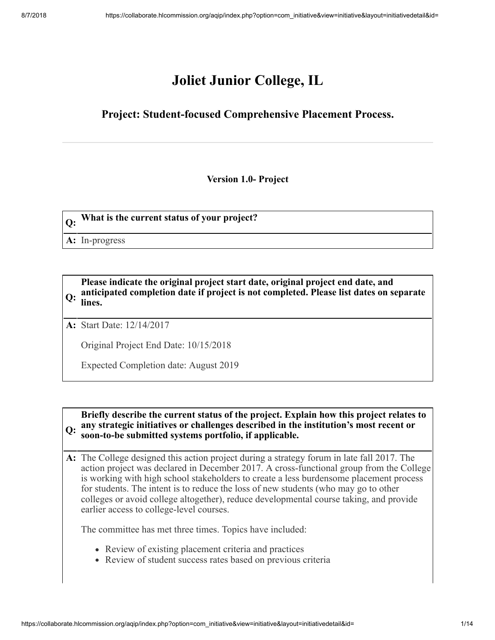# **Joliet Junior College, IL**

## **Project: Student-focused Comprehensive Placement Process.**

**Version 1.0- Project**

**Q: What is the current status of your project?**

**A:** In-progress

**Q: anticipated completion date if project is not completed. Please list dates on separate Please indicate the original project start date, original project end date, and lines.**

**A:** Start Date: 12/14/2017

Original Project End Date: 10/15/2018

Expected Completion date: August 2019

**Q: any strategic initiatives or challenges described in the institution's most recent or Briefly describe the current status of the project. Explain how this project relates to soon-to-be submitted systems portfolio, if applicable.**

**A:** The College designed this action project during a strategy forum in late fall 2017. The action project was declared in December 2017. A cross-functional group from the College is working with high school stakeholders to create a less burdensome placement process for students. The intent is to reduce the loss of new students (who may go to other colleges or avoid college altogether), reduce developmental course taking, and provide earlier access to college-level courses.

The committee has met three times. Topics have included:

- Review of existing placement criteria and practices
- Review of student success rates based on previous criteria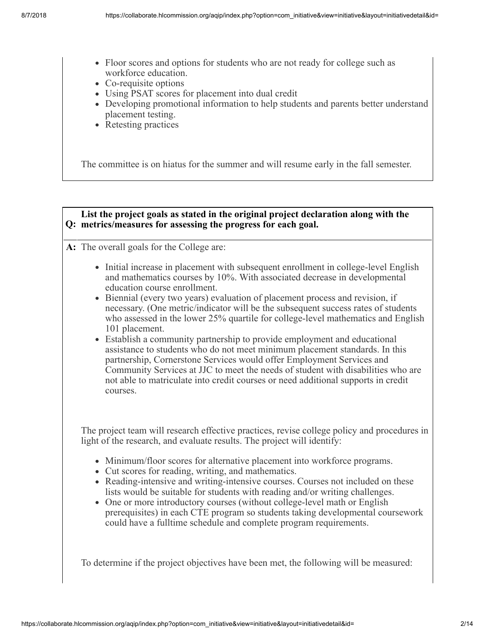- Floor scores and options for students who are not ready for college such as workforce education.
- Co-requisite options
- Using PSAT scores for placement into dual credit
- Developing promotional information to help students and parents better understand placement testing.
- Retesting practices

The committee is on hiatus for the summer and will resume early in the fall semester.

#### **Q: metrics/measures for assessing the progress for each goal. List the project goals as stated in the original project declaration along with the**

**A:** The overall goals for the College are:

- Initial increase in placement with subsequent enrollment in college-level English and mathematics courses by 10%. With associated decrease in developmental education course enrollment.
- Biennial (every two years) evaluation of placement process and revision, if necessary. (One metric/indicator will be the subsequent success rates of students who assessed in the lower 25% quartile for college-level mathematics and English 101 placement.
- Establish a community partnership to provide employment and educational assistance to students who do not meet minimum placement standards. In this partnership, Cornerstone Services would offer Employment Services and Community Services at JJC to meet the needs of student with disabilities who are not able to matriculate into credit courses or need additional supports in credit courses.

The project team will research effective practices, revise college policy and procedures in light of the research, and evaluate results. The project will identify:

- Minimum/floor scores for alternative placement into workforce programs.
- Cut scores for reading, writing, and mathematics.
- Reading-intensive and writing-intensive courses. Courses not included on these lists would be suitable for students with reading and/or writing challenges.
- One or more introductory courses (without college-level math or English prerequisites) in each CTE program so students taking developmental coursework could have a fulltime schedule and complete program requirements.

To determine if the project objectives have been met, the following will be measured: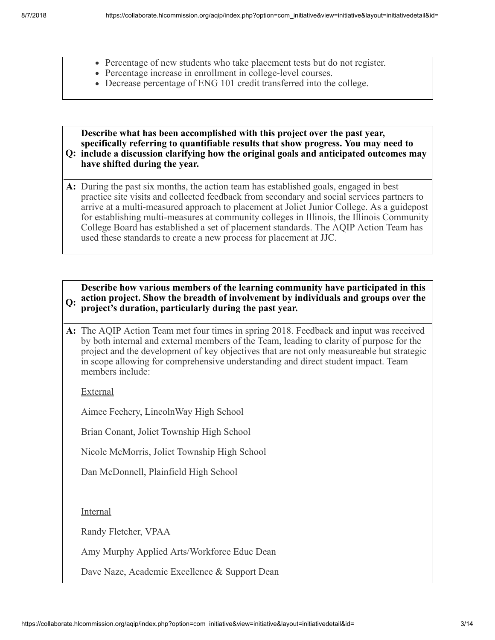- Percentage of new students who take placement tests but do not register.
- Percentage increase in enrollment in college-level courses.
- Decrease percentage of ENG 101 credit transferred into the college.

**Q: include a discussion clarifying how the original goals and anticipated outcomes may Describe what has been accomplished with this project over the past year, specifically referring to quantifiable results that show progress. You may need to have shifted during the year.**

**A:** During the past six months, the action team has established goals, engaged in best practice site visits and collected feedback from secondary and social services partners to arrive at a multi-measured approach to placement at Joliet Junior College. As a guidepost for establishing multi-measures at community colleges in Illinois, the Illinois Community College Board has established a set of placement standards. The AQIP Action Team has used these standards to create a new process for placement at JJC.

#### **Q: action project. Show the breadth of involvement by individuals and groups over the Describe how various members of the learning community have participated in this project's duration, particularly during the past year.**

**A:** The AQIP Action Team met four times in spring 2018. Feedback and input was received by both internal and external members of the Team, leading to clarity of purpose for the project and the development of key objectives that are not only measureable but strategic in scope allowing for comprehensive understanding and direct student impact. Team members include:

External

Aimee Feehery, LincolnWay High School

Brian Conant, Joliet Township High School

Nicole McMorris, Joliet Township High School

Dan McDonnell, Plainfield High School

Internal

Randy Fletcher, VPAA

Amy Murphy Applied Arts/Workforce Educ Dean

Dave Naze, Academic Excellence & Support Dean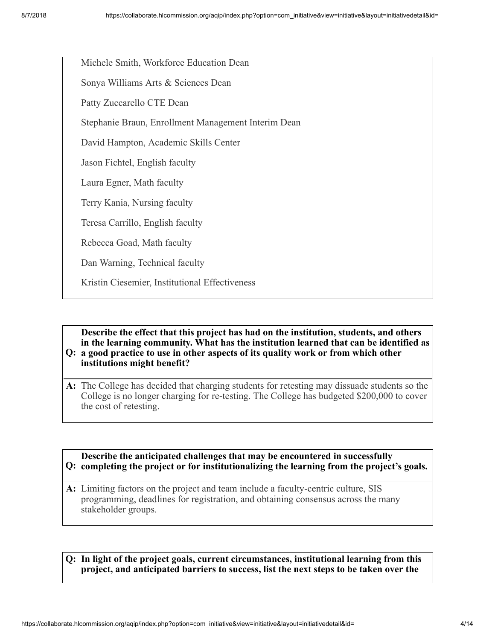Michele Smith, Workforce Education Dean

Sonya Williams Arts & Sciences Dean

Patty Zuccarello CTE Dean

Stephanie Braun, Enrollment Management Interim Dean

David Hampton, Academic Skills Center

Jason Fichtel, English faculty

Laura Egner, Math faculty

Terry Kania, Nursing faculty

Teresa Carrillo, English faculty

Rebecca Goad, Math faculty

Dan Warning, Technical faculty

Kristin Ciesemier, Institutional Effectiveness

**Q: a good practice to use in other aspects of its quality work or from which other Describe the effect that this project has had on the institution, students, and others in the learning community. What has the institution learned that can be identified as**

**institutions might benefit?**

**A:** The College has decided that charging students for retesting may dissuade students so the College is no longer charging for re-testing. The College has budgeted \$200,000 to cover the cost of retesting.

## **Q: completing the project or for institutionalizing the learning from the project's goals. Describe the anticipated challenges that may be encountered in successfully**

**A:** Limiting factors on the project and team include a faculty-centric culture, SIS programming, deadlines for registration, and obtaining consensus across the many stakeholder groups.

**Q: In light of the project goals, current circumstances, institutional learning from this project, and anticipated barriers to success, list the next steps to be taken over the**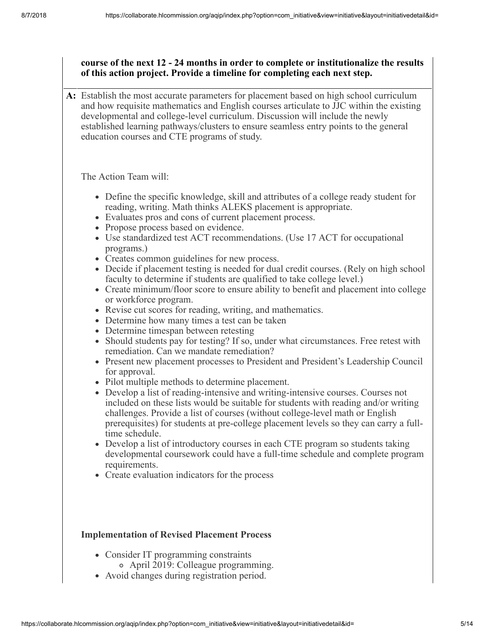## **course of the next 12 - 24 months in order to complete or institutionalize the results of this action project. Provide a timeline for completing each next step.**

**A:** Establish the most accurate parameters for placement based on high school curriculum and how requisite mathematics and English courses articulate to JJC within the existing developmental and college-level curriculum. Discussion will include the newly established learning pathways/clusters to ensure seamless entry points to the general education courses and CTE programs of study.

The Action Team will:

- Define the specific knowledge, skill and attributes of a college ready student for reading, writing. Math thinks ALEKS placement is appropriate.
- Evaluates pros and cons of current placement process.
- Propose process based on evidence.
- Use standardized test ACT recommendations. (Use 17 ACT for occupational programs.)
- Creates common guidelines for new process.
- Decide if placement testing is needed for dual credit courses. (Rely on high school faculty to determine if students are qualified to take college level.)
- Create minimum/floor score to ensure ability to benefit and placement into college or workforce program.
- Revise cut scores for reading, writing, and mathematics.
- Determine how many times a test can be taken
- Determine timespan between retesting
- Should students pay for testing? If so, under what circumstances. Free retest with remediation. Can we mandate remediation?
- Present new placement processes to President and President's Leadership Council for approval.
- Pilot multiple methods to determine placement.
- Develop a list of reading-intensive and writing-intensive courses. Courses not included on these lists would be suitable for students with reading and/or writing challenges. Provide a list of courses (without college-level math or English prerequisites) for students at pre-college placement levels so they can carry a fulltime schedule.
- Develop a list of introductory courses in each CTE program so students taking developmental coursework could have a full-time schedule and complete program requirements.
- Create evaluation indicators for the process

## **Implementation of Revised Placement Process**

- Consider IT programming constraints April 2019: Colleague programming.
- Avoid changes during registration period.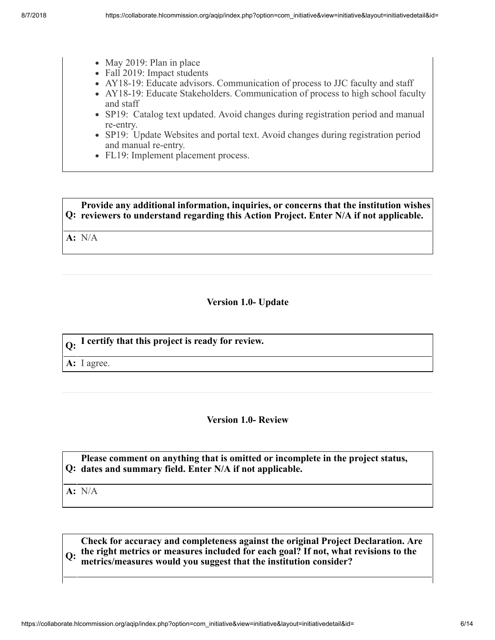- $\bullet$  May 2019: Plan in place
- Fall 2019: Impact students
- AY18-19: Educate advisors. Communication of process to JJC faculty and staff
- AY18-19: Educate Stakeholders. Communication of process to high school faculty and staff
- SP19: Catalog text updated. Avoid changes during registration period and manual re-entry.
- SP19: Update Websites and portal text. Avoid changes during registration period and manual re-entry.
- FL19: Implement placement process.

#### **Q: reviewers to understand regarding this Action Project. Enter N/A if not applicable. Provide any additional information, inquiries, or concerns that the institution wishes**

**A:** N/A

## **Version 1.0- Update**

| $\vert_{\Omega}$ . I certify that this project is ready for review. |
|---------------------------------------------------------------------|
| $\mathbf{A:}$ I agree.                                              |

#### **Version 1.0- Review**

#### **Q: dates and summary field. Enter N/A if not applicable. Please comment on anything that is omitted or incomplete in the project status,**

**A:** N/A

**Q: the right metrics or measures included for each goal? If not, what revisions to the Check for accuracy and completeness against the original Project Declaration. Are metrics/measures would you suggest that the institution consider?**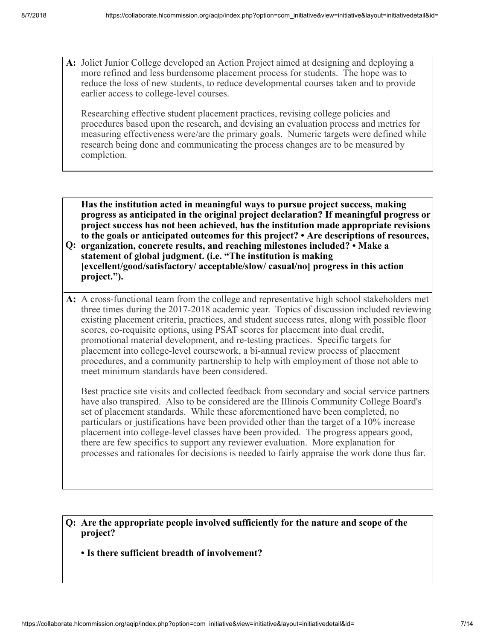**A:** Joliet Junior College developed an Action Project aimed at designing and deploying a more refined and less burdensome placement process for students. The hope was to reduce the loss of new students, to reduce developmental courses taken and to provide earlier access to college-level courses.

Researching effective student placement practices, revising college policies and procedures based upon the research, and devising an evaluation process and metrics for measuring effectiveness were/are the primary goals. Numeric targets were defined while research being done and communicating the process changes are to be measured by completion.

**Has the institution acted in meaningful ways to pursue project success, making progress as anticipated in the original project declaration? If meaningful progress or project success has not been achieved, has the institution made appropriate revisions to the goals or anticipated outcomes for this project? • Are descriptions of resources,**

- **Q: organization, concrete results, and reaching milestones included? Make a statement of global judgment. (i.e. "The institution is making [excellent/good/satisfactory/ acceptable/slow/ casual/no] progress in this action project.").**
- **A:** A cross-functional team from the college and representative high school stakeholders met three times during the 2017-2018 academic year. Topics of discussion included reviewing existing placement criteria, practices, and student success rates, along with possible floor scores, co-requisite options, using PSAT scores for placement into dual credit, promotional material development, and re-testing practices. Specific targets for placement into college-level coursework, a bi-annual review process of placement procedures, and a community partnership to help with employment of those not able to meet minimum standards have been considered.

Best practice site visits and collected feedback from secondary and social service partners have also transpired. Also to be considered are the Illinois Community College Board's set of placement standards. While these aforementioned have been completed, no particulars or justifications have been provided other than the target of a 10% increase placement into college-level classes have been provided. The progress appears good, there are few specifics to support any reviewer evaluation. More explanation for processes and rationales for decisions is needed to fairly appraise the work done thus far.

**Q: Are the appropriate people involved sufficiently for the nature and scope of the project?**

**• Is there sufficient breadth of involvement?**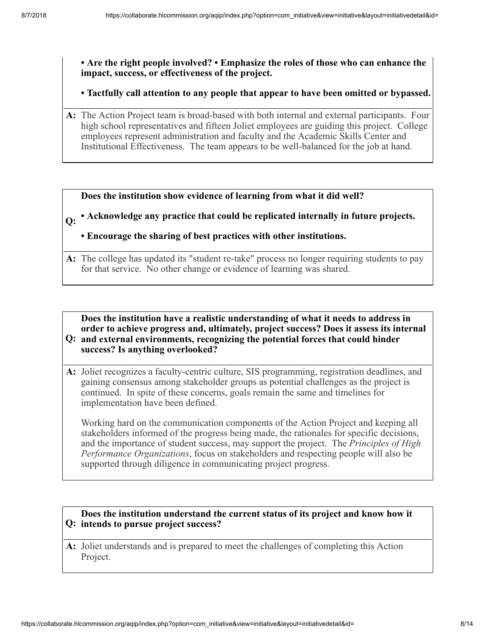**• Are the right people involved? • Emphasize the roles of those who can enhance the impact, success, or effectiveness of the project.**

**• Tactfully call attention to any people that appear to have been omitted or bypassed.**

**A:** The Action Project team is broad-based with both internal and external participants. Four high school representatives and fifteen Joliet employees are guiding this project. College employees represent administration and faculty and the Academic Skills Center and Institutional Effectiveness. The team appears to be well-balanced for the job at hand.

**Does the institution show evidence of learning from what it did well?**

## **Q: • Acknowledge any practice that could be replicated internally in future projects.**

## **• Encourage the sharing of best practices with other institutions.**

**A:** The college has updated its "student re-take" process no longer requiring students to pay for that service. No other change or evidence of learning was shared.

**Q: and external environments, recognizing the potential forces that could hinder Does the institution have a realistic understanding of what it needs to address in order to achieve progress and, ultimately, project success? Does it assess its internal success? Is anything overlooked?**

**A:** Joliet recognizes a faculty-centric culture, SIS programming, registration deadlines, and gaining consensus among stakeholder groups as potential challenges as the project is continued. In spite of these concerns, goals remain the same and timelines for implementation have been defined.

Working hard on the communication components of the Action Project and keeping all stakeholders informed of the progress being made, the rationales for specific decisions, and the importance of student success, may support the project. The *Principles of High Performance Organizations*, focus on stakeholders and respecting people will also be supported through diligence in communicating project progress.

## **Q: intends to pursue project success? Does the institution understand the current status of its project and know how it**

**A:** Joliet understands and is prepared to meet the challenges of completing this Action Project.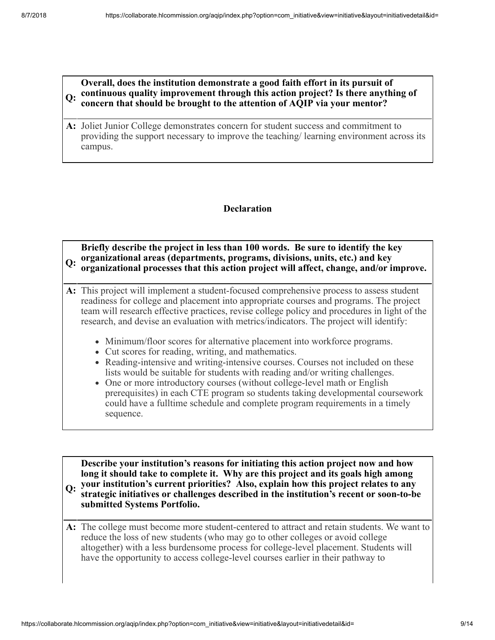#### **Q: continuous quality improvement through this action project? Is there anything of Overall, does the institution demonstrate a good faith effort in its pursuit of concern that should be brought to the attention of AQIP via your mentor?**

**A:** Joliet Junior College demonstrates concern for student success and commitment to providing the support necessary to improve the teaching/ learning environment across its campus.

## **Declaration**

## **Q: organizational areas (departments, programs, divisions, units, etc.) and key Briefly describe the project in less than 100 words. Be sure to identify the key organizational processes that this action project will affect, change, and/or improve.**

- **A:** This project will implement a student-focused comprehensive process to assess student readiness for college and placement into appropriate courses and programs. The project team will research effective practices, revise college policy and procedures in light of the research, and devise an evaluation with metrics/indicators. The project will identify:
	- Minimum/floor scores for alternative placement into workforce programs.
	- Cut scores for reading, writing, and mathematics.
	- Reading-intensive and writing-intensive courses. Courses not included on these lists would be suitable for students with reading and/or writing challenges.
	- One or more introductory courses (without college-level math or English prerequisites) in each CTE program so students taking developmental coursework could have a fulltime schedule and complete program requirements in a timely sequence.

**Q: your institution's current priorities? Also, explain how this project relates to any Describe your institution's reasons for initiating this action project now and how long it should take to complete it. Why are this project and its goals high among strategic initiatives or challenges described in the institution's recent or soon-to-be submitted Systems Portfolio.**

**A:** The college must become more student-centered to attract and retain students. We want to reduce the loss of new students (who may go to other colleges or avoid college altogether) with a less burdensome process for college-level placement. Students will have the opportunity to access college-level courses earlier in their pathway to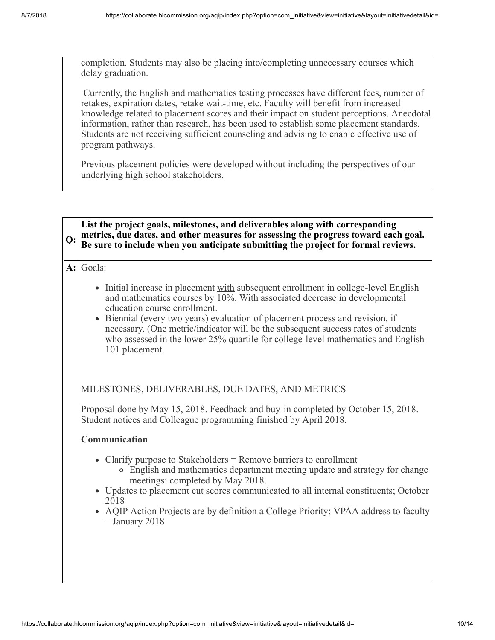completion. Students may also be placing into/completing unnecessary courses which delay graduation.

 Currently, the English and mathematics testing processes have different fees, number of retakes, expiration dates, retake wait-time, etc. Faculty will benefit from increased knowledge related to placement scores and their impact on student perceptions. Anecdotal information, rather than research, has been used to establish some placement standards. Students are not receiving sufficient counseling and advising to enable effective use of program pathways.

Previous placement policies were developed without including the perspectives of our underlying high school stakeholders.



**A:** Goals:

- Initial increase in placement with subsequent enrollment in college-level English and mathematics courses by 10%. With associated decrease in developmental education course enrollment.
- Biennial (every two years) evaluation of placement process and revision, if necessary. (One metric/indicator will be the subsequent success rates of students who assessed in the lower 25% quartile for college-level mathematics and English 101 placement.

## MILESTONES, DELIVERABLES, DUE DATES, AND METRICS

Proposal done by May 15, 2018. Feedback and buy-in completed by October 15, 2018. Student notices and Colleague programming finished by April 2018.

## **Communication**

- Clarify purpose to Stakeholders  $=$  Remove barriers to enrollment
	- English and mathematics department meeting update and strategy for change meetings: completed by May 2018.
- Updates to placement cut scores communicated to all internal constituents; October 2018
- AQIP Action Projects are by definition a College Priority; VPAA address to faculty – January 2018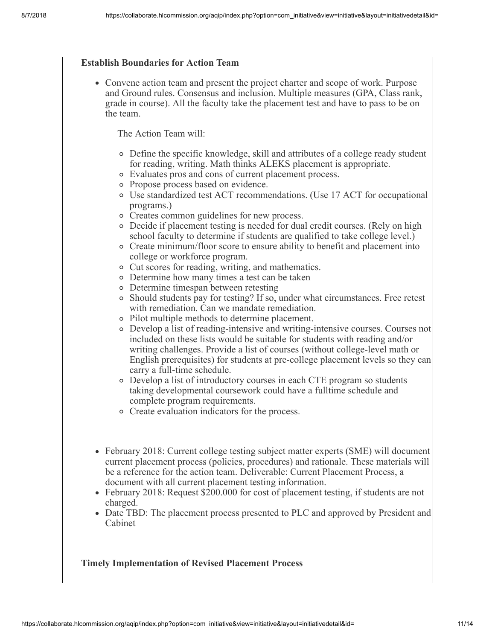#### **Establish Boundaries for Action Team**

Convene action team and present the project charter and scope of work. Purpose and Ground rules. Consensus and inclusion. Multiple measures (GPA, Class rank, grade in course). All the faculty take the placement test and have to pass to be on the team.

The Action Team will:

- Define the specific knowledge, skill and attributes of a college ready student for reading, writing. Math thinks ALEKS placement is appropriate.
- Evaluates pros and cons of current placement process.
- Propose process based on evidence.
- Use standardized test ACT recommendations. (Use 17 ACT for occupational programs.)
- Creates common guidelines for new process.
- Decide if placement testing is needed for dual credit courses. (Rely on high school faculty to determine if students are qualified to take college level.)
- Create minimum/floor score to ensure ability to benefit and placement into college or workforce program.
- Cut scores for reading, writing, and mathematics.
- Determine how many times a test can be taken
- Determine timespan between retesting
- $\circ$  Should students pay for testing? If so, under what circumstances. Free retest with remediation. Can we mandate remediation.
- Pilot multiple methods to determine placement.
- Develop a list of reading-intensive and writing-intensive courses. Courses not included on these lists would be suitable for students with reading and/or writing challenges. Provide a list of courses (without college-level math or English prerequisites) for students at pre-college placement levels so they can carry a full-time schedule.
- Develop a list of introductory courses in each CTE program so students taking developmental coursework could have a fulltime schedule and complete program requirements.
- Create evaluation indicators for the process.
- February 2018: Current college testing subject matter experts (SME) will document current placement process (policies, procedures) and rationale. These materials will be a reference for the action team. Deliverable: Current Placement Process, a document with all current placement testing information.
- February 2018: Request \$200.000 for cost of placement testing, if students are not charged.
- Date TBD: The placement process presented to PLC and approved by President and Cabinet

## **Timely Implementation of Revised Placement Process**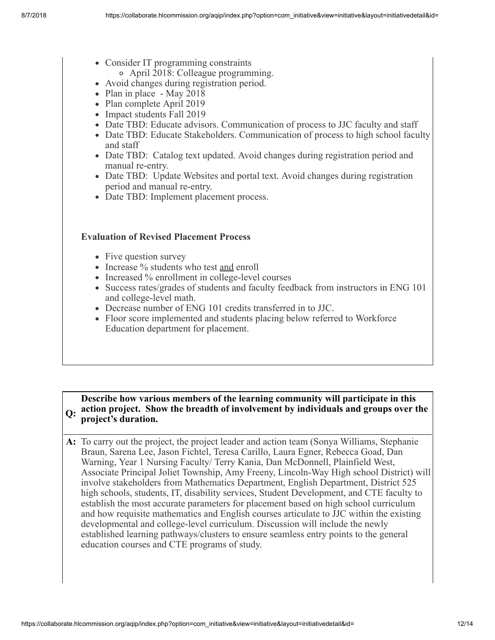- Consider IT programming constraints
	- April 2018: Colleague programming.
- Avoid changes during registration period.
- Plan in place May 2018
- Plan complete April 2019
- Impact students Fall 2019
- Date TBD: Educate advisors. Communication of process to JJC faculty and staff
- Date TBD: Educate Stakeholders. Communication of process to high school faculty and staff
- Date TBD: Catalog text updated. Avoid changes during registration period and manual re-entry.
- Date TBD: Update Websites and portal text. Avoid changes during registration period and manual re-entry.
- Date TBD: Implement placement process.

## **Evaluation of Revised Placement Process**

- Five question survey
- Increase % students who test and enroll
- Increased % enrollment in college-level courses
- Success rates/grades of students and faculty feedback from instructors in ENG 101 and college-level math.
- Decrease number of ENG 101 credits transferred in to JJC.
- Floor score implemented and students placing below referred to Workforce Education department for placement.

#### **Q: action project. Show the breadth of involvement by individuals and groups over the Describe how various members of the learning community will participate in this project's duration.**

**A:** To carry out the project, the project leader and action team (Sonya Williams, Stephanie Braun, Sarena Lee, Jason Fichtel, Teresa Carillo, Laura Egner, Rebecca Goad, Dan Warning, Year 1 Nursing Faculty/ Terry Kania, Dan McDonnell, Plainfield West, Associate Principal Joliet Township, Amy Freeny, Lincoln-Way High school District) will involve stakeholders from Mathematics Department, English Department, District 525 high schools, students, IT, disability services, Student Development, and CTE faculty to establish the most accurate parameters for placement based on high school curriculum and how requisite mathematics and English courses articulate to JJC within the existing developmental and college-level curriculum. Discussion will include the newly established learning pathways/clusters to ensure seamless entry points to the general education courses and CTE programs of study.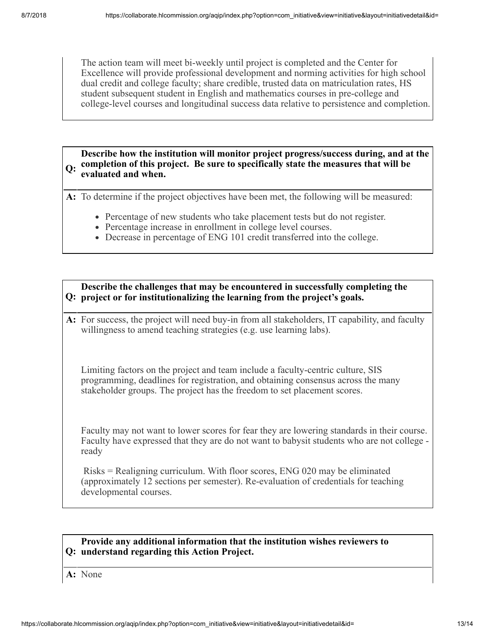The action team will meet bi-weekly until project is completed and the Center for Excellence will provide professional development and norming activities for high school dual credit and college faculty; share credible, trusted data on matriculation rates, HS student subsequent student in English and mathematics courses in pre-college and college-level courses and longitudinal success data relative to persistence and completion.

**Q: completion of this project. Be sure to specifically state the measures that will be Describe how the institution will monitor project progress/success during, and at the evaluated and when.**

**A:** To determine if the project objectives have been met, the following will be measured:

- Percentage of new students who take placement tests but do not register.
- Percentage increase in enrollment in college level courses.
- Decrease in percentage of ENG 101 credit transferred into the college.

**Q: project or for institutionalizing the learning from the project's goals. Describe the challenges that may be encountered in successfully completing the**

**A:** For success, the project will need buy-in from all stakeholders, IT capability, and faculty willingness to amend teaching strategies (e.g. use learning labs).

Limiting factors on the project and team include a faculty-centric culture, SIS programming, deadlines for registration, and obtaining consensus across the many stakeholder groups. The project has the freedom to set placement scores.

Faculty may not want to lower scores for fear they are lowering standards in their course. Faculty have expressed that they are do not want to babysit students who are not college ready

 Risks = Realigning curriculum. With floor scores, ENG 020 may be eliminated (approximately 12 sections per semester). Re-evaluation of credentials for teaching developmental courses.

#### **Q: understand regarding this Action Project. Provide any additional information that the institution wishes reviewers to**

**A:** None